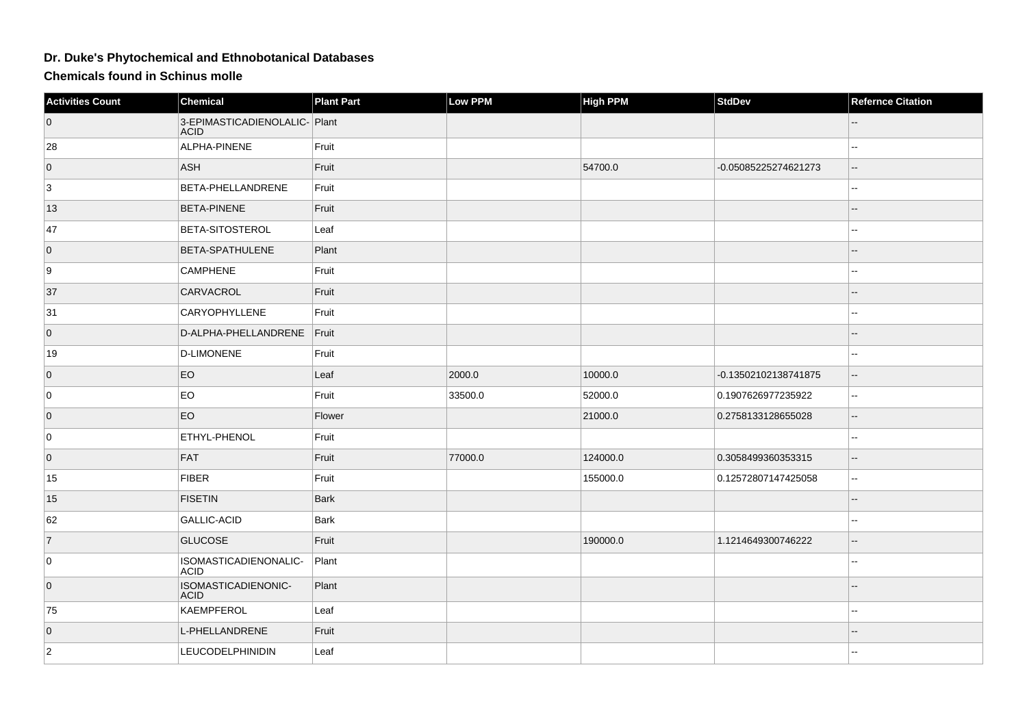## **Dr. Duke's Phytochemical and Ethnobotanical Databases**

**Chemicals found in Schinus molle**

| <b>Activities Count</b> | Chemical                                     | <b>Plant Part</b> | Low PPM | <b>High PPM</b> | <b>StdDev</b>        | <b>Refernce Citation</b> |
|-------------------------|----------------------------------------------|-------------------|---------|-----------------|----------------------|--------------------------|
| $\overline{0}$          | 3-EPIMASTICADIENOLALIC- Plant<br><b>ACID</b> |                   |         |                 |                      |                          |
| 28                      | ALPHA-PINENE                                 | Fruit             |         |                 |                      |                          |
| $\overline{0}$          | <b>ASH</b>                                   | Fruit             |         | 54700.0         | -0.05085225274621273 |                          |
| 3                       | BETA-PHELLANDRENE                            | Fruit             |         |                 |                      | --                       |
| 13                      | <b>BETA-PINENE</b>                           | Fruit             |         |                 |                      |                          |
| 47                      | BETA-SITOSTEROL                              | Leaf              |         |                 |                      |                          |
| $\overline{0}$          | <b>BETA-SPATHULENE</b>                       | Plant             |         |                 |                      |                          |
| 9                       | <b>CAMPHENE</b>                              | Fruit             |         |                 |                      |                          |
| 37                      | <b>CARVACROL</b>                             | Fruit             |         |                 |                      |                          |
| 31                      | <b>CARYOPHYLLENE</b>                         | Fruit             |         |                 |                      |                          |
| $\overline{0}$          | D-ALPHA-PHELLANDRENE                         | Fruit             |         |                 |                      |                          |
| 19                      | D-LIMONENE                                   | Fruit             |         |                 |                      | --                       |
| $\overline{0}$          | EO                                           | Leaf              | 2000.0  | 10000.0         | -0.13502102138741875 |                          |
| 0                       | EO                                           | Fruit             | 33500.0 | 52000.0         | 0.1907626977235922   | $\overline{a}$           |
| $\overline{0}$          | EO                                           | Flower            |         | 21000.0         | 0.2758133128655028   | $\overline{\phantom{a}}$ |
| 0                       | ETHYL-PHENOL                                 | Fruit             |         |                 |                      | ۵.                       |
| $\overline{0}$          | FAT                                          | Fruit             | 77000.0 | 124000.0        | 0.3058499360353315   |                          |
| 15                      | FIBER                                        | Fruit             |         | 155000.0        | 0.12572807147425058  | Ξ.                       |
| 15                      | <b>FISETIN</b>                               | Bark              |         |                 |                      |                          |
| 62                      | <b>GALLIC-ACID</b>                           | Bark              |         |                 |                      |                          |
| $\overline{7}$          | <b>GLUCOSE</b>                               | Fruit             |         | 190000.0        | 1.1214649300746222   |                          |
| 0                       | ISOMASTICADIENONALIC-<br><b>ACID</b>         | Plant             |         |                 |                      | --                       |
| $\overline{0}$          | ISOMASTICADIENONIC-<br><b>ACID</b>           | Plant             |         |                 |                      |                          |
| 75                      | KAEMPFEROL                                   | Leaf              |         |                 |                      |                          |
| $\overline{0}$          | L-PHELLANDRENE                               | Fruit             |         |                 |                      |                          |
| $ 2\rangle$             | <b>LEUCODELPHINIDIN</b>                      | Leaf              |         |                 |                      |                          |